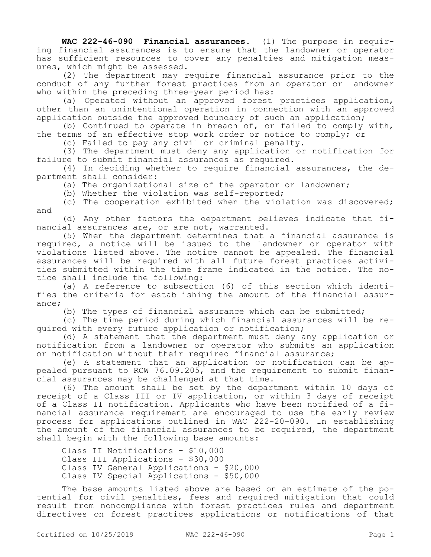**WAC 222-46-090 Financial assurances.** (1) The purpose in requiring financial assurances is to ensure that the landowner or operator has sufficient resources to cover any penalties and mitigation measures, which might be assessed.

(2) The department may require financial assurance prior to the conduct of any further forest practices from an operator or landowner who within the preceding three-year period has:

(a) Operated without an approved forest practices application, other than an unintentional operation in connection with an approved application outside the approved boundary of such an application;

(b) Continued to operate in breach of, or failed to comply with, the terms of an effective stop work order or notice to comply; or

(c) Failed to pay any civil or criminal penalty.

(3) The department must deny any application or notification for failure to submit financial assurances as required.

(4) In deciding whether to require financial assurances, the department shall consider:

(a) The organizational size of the operator or landowner;

(b) Whether the violation was self-reported;

(c) The cooperation exhibited when the violation was discovered; and

(d) Any other factors the department believes indicate that financial assurances are, or are not, warranted.

(5) When the department determines that a financial assurance is required, a notice will be issued to the landowner or operator with violations listed above. The notice cannot be appealed. The financial assurances will be required with all future forest practices activities submitted within the time frame indicated in the notice. The notice shall include the following:

(a) A reference to subsection (6) of this section which identifies the criteria for establishing the amount of the financial assurance;

(b) The types of financial assurance which can be submitted;

(c) The time period during which financial assurances will be required with every future application or notification;

(d) A statement that the department must deny any application or notification from a landowner or operator who submits an application or notification without their required financial assurance;

(e) A statement that an application or notification can be appealed pursuant to RCW 76.09.205, and the requirement to submit financial assurances may be challenged at that time.

(6) The amount shall be set by the department within 10 days of receipt of a Class III or IV application, or within 3 days of receipt of a Class II notification. Applicants who have been notified of a financial assurance requirement are encouraged to use the early review process for applications outlined in WAC 222-20-090. In establishing the amount of the financial assurances to be required, the department shall begin with the following base amounts:

Class II Notifications - \$10,000 Class III Applications - \$30,000 Class IV General Applications - \$20,000 Class IV Special Applications - \$50,000

The base amounts listed above are based on an estimate of the potential for civil penalties, fees and required mitigation that could result from noncompliance with forest practices rules and department directives on forest practices applications or notifications of that